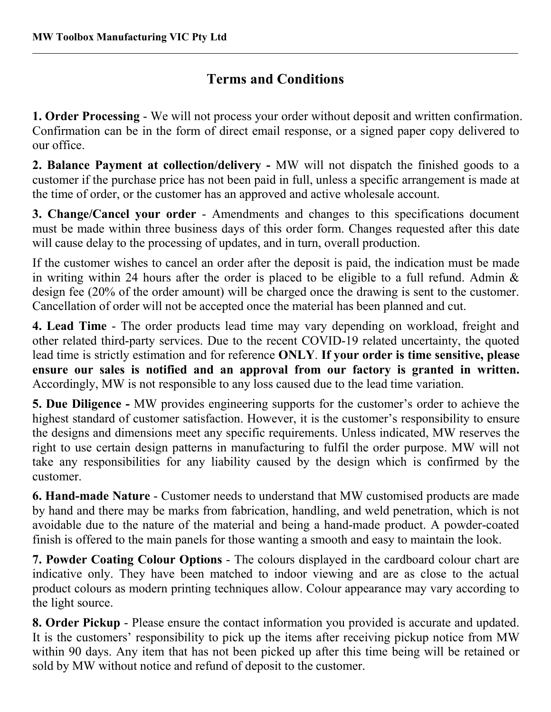## **Terms and Conditions**

**1. Order Processing** - We will not process your order without deposit and written confirmation. Confirmation can be in the form of direct email response, or a signed paper copy delivered to our office.

**2. Balance Payment at collection/delivery -** MW will not dispatch the finished goods to a customer if the purchase price has not been paid in full, unless a specific arrangement is made at the time of order, or the customer has an approved and active wholesale account.

**3. Change/Cancel your order** - Amendments and changes to this specifications document must be made within three business days of this order form. Changes requested after this date will cause delay to the processing of updates, and in turn, overall production.

If the customer wishes to cancel an order after the deposit is paid, the indication must be made in writing within 24 hours after the order is placed to be eligible to a full refund. Admin  $\&$ design fee (20% of the order amount) will be charged once the drawing is sent to the customer. Cancellation of order will not be accepted once the material has been planned and cut.

**4. Lead Time** - The order products lead time may vary depending on workload, freight and other related third-party services. Due to the recent COVID-19 related uncertainty, the quoted lead time is strictly estimation and forreference **ONLY**. **If your order is time sensitive, please ensure our sales is notified and an approval from our factory is granted in written.** Accordingly, MW is not responsible to any loss caused due to the lead time variation.

**5. Due Diligence -** MW provides engineering supports for the customer's order to achieve the highest standard of customer satisfaction. However, it is the customer's responsibility to ensure the designs and dimensions meet any specific requirements. Unless indicated, MW reserves the right to use certain design patterns in manufacturing to fulfil the order purpose. MW will not take any responsibilities for any liability caused by the design which is confirmed by the customer.

**6. Hand-made Nature** - Customer needs to understand that MW customised products are made by hand and there may be marks from fabrication, handling, and weld penetration, which is not avoidable due to the nature of the material and being a hand-made product. A powder-coated finish is offered to the main panels for those wanting a smooth and easy to maintain the look.

**7. Powder Coating Colour Options** - The colours displayed in the cardboard colour chart are indicative only. They have been matched to indoor viewing and are as close to the actual product colours as modern printing techniques allow. Colour appearance may vary according to the light source.

**8. Order Pickup** - Please ensure the contact information you provided is accurate and updated. It is the customers' responsibility to pick up the items after receiving pickup notice from MW within 90 days. Any item that has not been picked up after this time being will be retained or sold by MW without notice and refund of deposit to the customer.